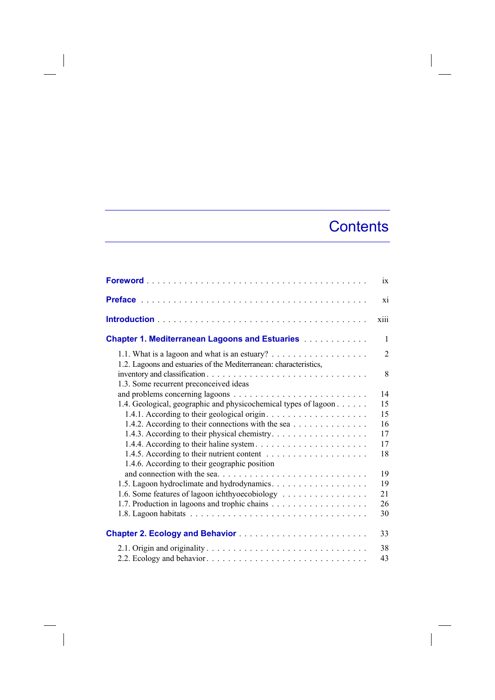## **Contents**

|                                                                                                                     | $ix =$         |
|---------------------------------------------------------------------------------------------------------------------|----------------|
|                                                                                                                     | xi             |
|                                                                                                                     | xiii           |
| <b>Chapter 1. Mediterranean Lagoons and Estuaries Administration Chapter 1. Mediterranean Lagoons and Estuaries</b> | $\mathbf{1}$   |
|                                                                                                                     | $\overline{2}$ |
| 1.2. Lagoons and estuaries of the Mediterranean: characteristics,<br>1.3. Some recurrent preconceived ideas         | 8              |
|                                                                                                                     | 14             |
| 1.4. Geological, geographic and physicochemical types of lagoon                                                     | 15             |
|                                                                                                                     | 15             |
| 1.4.2. According to their connections with the sea                                                                  | 16             |
| 1.4.3. According to their physical chemistry.                                                                       | 17             |
|                                                                                                                     | 17             |
|                                                                                                                     | 18             |
| 1.4.6. According to their geographic position                                                                       |                |
|                                                                                                                     | 19             |
|                                                                                                                     | 19             |
| 1.6. Some features of lagoon ichthyoecobiology                                                                      | 21             |
|                                                                                                                     | 26             |
|                                                                                                                     | 30             |
| <b>Chapter 2. Ecology and Behavior </b>                                                                             | 33             |
|                                                                                                                     | 38             |
|                                                                                                                     | 43             |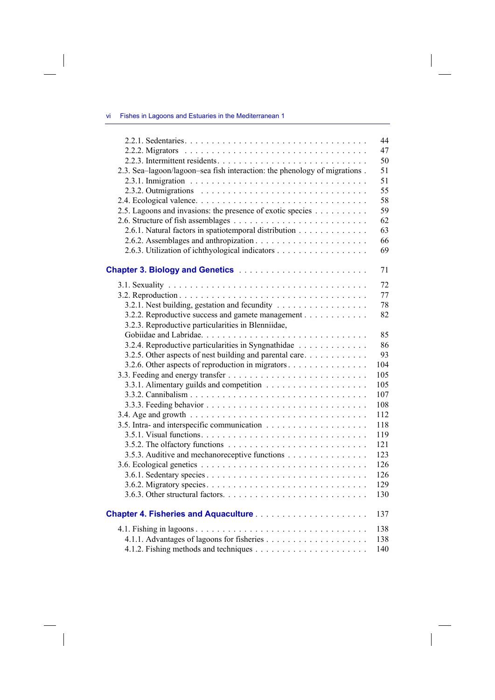| -vi |  |  |  |  | Fishes in Lagoons and Estuaries in the Mediterranean 1 |  |
|-----|--|--|--|--|--------------------------------------------------------|--|
|-----|--|--|--|--|--------------------------------------------------------|--|

 $\mathcal{L}_{\mathcal{A}}$ 

| 2.3. Sea-lagoon/lagoon-sea fish interaction: the phenology of migrations. | 44<br>47<br>50<br>51<br>51<br>55 |
|---------------------------------------------------------------------------|----------------------------------|
|                                                                           | 58                               |
| 2.5. Lagoons and invasions: the presence of exotic species                | 59                               |
|                                                                           | 62                               |
| 2.6.1. Natural factors in spatiotemporal distribution                     | 63                               |
|                                                                           | 66                               |
| 2.6.3. Utilization of ichthyological indicators                           | 69                               |
|                                                                           |                                  |
|                                                                           | 71                               |
|                                                                           | 72                               |
|                                                                           | 77                               |
| 3.2.1. Nest building, gestation and fecundity                             | 78                               |
| 3.2.2. Reproductive success and gamete management                         | 82                               |
| 3.2.3. Reproductive particularities in Blenniidae,                        |                                  |
|                                                                           | 85                               |
| 3.2.4. Reproductive particularities in Syngnathidae                       | 86                               |
| 3.2.5. Other aspects of nest building and parental care                   | 93                               |
| 3.2.6. Other aspects of reproduction in migrators                         | 104                              |
|                                                                           | 105                              |
|                                                                           | 105                              |
|                                                                           | 107                              |
|                                                                           | 108                              |
|                                                                           | 112                              |
|                                                                           | 118                              |
|                                                                           | 119                              |
|                                                                           | 121                              |
| 3.5.3. Auditive and mechanoreceptive functions                            | 123                              |
|                                                                           | 126                              |
|                                                                           | 126                              |
|                                                                           | 129                              |
|                                                                           | 130                              |
|                                                                           |                                  |
|                                                                           | 137                              |
|                                                                           | 138                              |
|                                                                           | 138                              |
|                                                                           | 140                              |
|                                                                           |                                  |

 $\| \cdot \|$